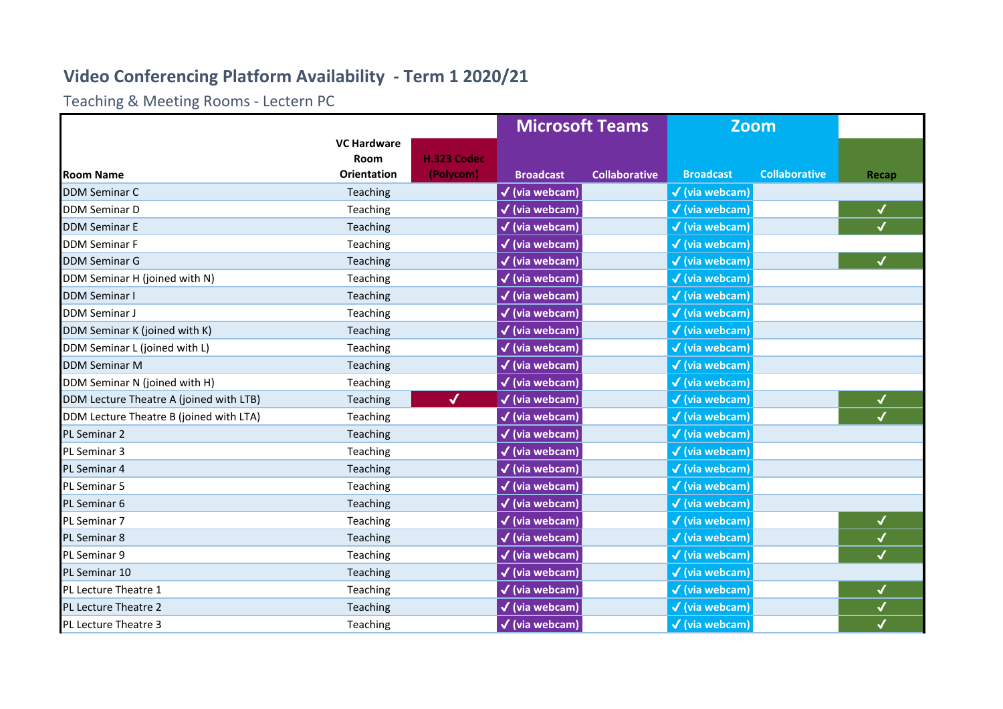## **Video Conferencing Platform Availability - Term 1 2020/21**

Teaching & Meeting Rooms - Lectern PC

|                                         |                            |              | <b>Microsoft Teams</b>       |                      | <b>Zoom</b>               |                      |                          |
|-----------------------------------------|----------------------------|--------------|------------------------------|----------------------|---------------------------|----------------------|--------------------------|
|                                         | <b>VC Hardware</b><br>Room | H.323 Codec  |                              |                      |                           |                      |                          |
| <b>Room Name</b>                        | <b>Orientation</b>         | (Polycom)    | <b>Broadcast</b>             | <b>Collaborative</b> | <b>Broadcast</b>          | <b>Collaborative</b> | Recap                    |
| <b>DDM Seminar C</b>                    | Teaching                   |              | $\checkmark$ (via webcam)    |                      | $\checkmark$ (via webcam) |                      |                          |
| <b>DDM Seminar D</b>                    | Teaching                   |              | $\checkmark$ (via webcam)    |                      | $\checkmark$ (via webcam) |                      | ✔                        |
| <b>DDM Seminar E</b>                    | Teaching                   |              | $\checkmark$ (via webcam)    |                      | $\checkmark$ (via webcam) |                      |                          |
| <b>DDM Seminar F</b>                    | Teaching                   |              | $\checkmark$ (via webcam)    |                      | $\checkmark$ (via webcam) |                      |                          |
| <b>DDM Seminar G</b>                    | Teaching                   |              | $\sqrt{(\text{via webeam})}$ |                      | $\checkmark$ (via webcam) |                      | $\checkmark$             |
| DDM Seminar H (joined with N)           | Teaching                   |              | $\checkmark$ (via webcam)    |                      | $\checkmark$ (via webcam) |                      |                          |
| <b>DDM Seminar I</b>                    | Teaching                   |              | √ (via webcam)               |                      | $\checkmark$ (via webcam) |                      |                          |
| <b>DDM Seminar J</b>                    | Teaching                   |              | $\checkmark$ (via webcam)    |                      | $\checkmark$ (via webcam) |                      |                          |
| DDM Seminar K (joined with K)           | Teaching                   |              | $\checkmark$ (via webcam)    |                      | $\checkmark$ (via webcam) |                      |                          |
| DDM Seminar L (joined with L)           | Teaching                   |              | $\checkmark$ (via webcam)    |                      | $\checkmark$ (via webcam) |                      |                          |
| <b>DDM Seminar M</b>                    | Teaching                   |              | $\checkmark$ (via webcam)    |                      | $\checkmark$ (via webcam) |                      |                          |
| DDM Seminar N (joined with H)           | Teaching                   |              | $\checkmark$ (via webcam)    |                      | $\checkmark$ (via webcam) |                      |                          |
| DDM Lecture Theatre A (joined with LTB) | Teaching                   | $\checkmark$ | $\checkmark$ (via webcam)    |                      | $\checkmark$ (via webcam) |                      | ✔                        |
| DDM Lecture Theatre B (joined with LTA) | Teaching                   |              | $\checkmark$ (via webcam)    |                      | $\checkmark$ (via webcam) |                      | $\checkmark$             |
| <b>PL Seminar 2</b>                     | Teaching                   |              | $\checkmark$ (via webcam)    |                      | $\checkmark$ (via webcam) |                      |                          |
| PL Seminar 3                            | Teaching                   |              | $\checkmark$ (via webcam)    |                      | $\checkmark$ (via webcam) |                      |                          |
| <b>PL Seminar 4</b>                     | Teaching                   |              | $\checkmark$ (via webcam)    |                      | $\checkmark$ (via webcam) |                      |                          |
| PL Seminar 5                            | Teaching                   |              | $\checkmark$ (via webcam)    |                      | $\checkmark$ (via webcam) |                      |                          |
| PL Seminar 6                            | Teaching                   |              | $\checkmark$ (via webcam)    |                      | $\checkmark$ (via webcam) |                      |                          |
| <b>PL Seminar 7</b>                     | Teaching                   |              | $\checkmark$ (via webcam)    |                      | $\checkmark$ (via webcam) |                      | $\checkmark$             |
| <b>PL Seminar 8</b>                     | Teaching                   |              | $\checkmark$ (via webcam)    |                      | $\checkmark$ (via webcam) |                      | $\checkmark$             |
| <b>PL Seminar 9</b>                     | Teaching                   |              | $\checkmark$ (via webcam)    |                      | $\checkmark$ (via webcam) |                      | $\overline{\mathcal{L}}$ |
| <b>PL Seminar 10</b>                    | Teaching                   |              | $\checkmark$ (via webcam)    |                      | $\checkmark$ (via webcam) |                      |                          |
| PL Lecture Theatre 1                    | Teaching                   |              | $\checkmark$ (via webcam)    |                      | $\checkmark$ (via webcam) |                      | $\checkmark$             |
| PL Lecture Theatre 2                    | Teaching                   |              | $\checkmark$ (via webcam)    |                      | $\checkmark$ (via webcam) |                      | $\checkmark$             |
| PL Lecture Theatre 3                    | Teaching                   |              | $\checkmark$ (via webcam)    |                      | $\checkmark$ (via webcam) |                      | $\checkmark$             |